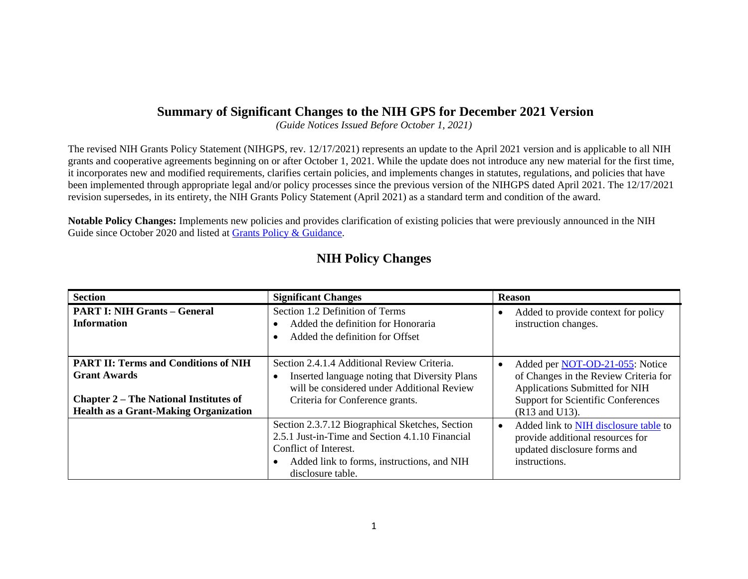## **Summary of Significant Changes to the NIH GPS for December 2021 Version**

*(Guide Notices Issued Before October 1, 2021)* 

The revised NIH Grants Policy Statement (NIHGPS, rev. 12/17/2021) represents an update to the April 2021 version and is applicable to all NIH grants and cooperative agreements beginning on or after October 1, 2021. While the update does not introduce any new material for the first time, it incorporates new and modified requirements, clarifies certain policies, and implements changes in statutes, regulations, and policies that have been implemented through appropriate legal and/or policy processes since the previous version of the NIHGPS dated April 2021. The 12/17/2021 revision supersedes, in its entirety, the NIH Grants Policy Statement (April 2021) as a standard term and condition of the award.

**Notable Policy Changes:** Implements new policies and provides clarification of existing policies that were previously announced in the NIH Guide since October 2020 and listed at [Grants Policy & Guidance.](http://grants.nih.gov/grants/policy/policy.htm)

| <b>Section</b>                                                                                                                                                      | <b>Significant Changes</b>                                                                                                                                                                                  | <b>Reason</b>                                                                                                                                                             |
|---------------------------------------------------------------------------------------------------------------------------------------------------------------------|-------------------------------------------------------------------------------------------------------------------------------------------------------------------------------------------------------------|---------------------------------------------------------------------------------------------------------------------------------------------------------------------------|
| <b>PART I: NIH Grants - General</b><br><b>Information</b>                                                                                                           | Section 1.2 Definition of Terms<br>Added the definition for Honoraria<br>$\bullet$<br>Added the definition for Offset<br>$\bullet$                                                                          | Added to provide context for policy<br>instruction changes.                                                                                                               |
| <b>PART II: Terms and Conditions of NIH</b><br><b>Grant Awards</b><br><b>Chapter 2 – The National Institutes of</b><br><b>Health as a Grant-Making Organization</b> | Section 2.4.1.4 Additional Review Criteria.<br>Inserted language noting that Diversity Plans<br>$\bullet$<br>will be considered under Additional Review<br>Criteria for Conference grants.                  | Added per NOT-OD-21-055: Notice<br>of Changes in the Review Criteria for<br>Applications Submitted for NIH<br><b>Support for Scientific Conferences</b><br>(R13 and U13). |
|                                                                                                                                                                     | Section 2.3.7.12 Biographical Sketches, Section<br>2.5.1 Just-in-Time and Section 4.1.10 Financial<br>Conflict of Interest.<br>Added link to forms, instructions, and NIH<br>$\bullet$<br>disclosure table. | Added link to NIH disclosure table to<br>$\bullet$<br>provide additional resources for<br>updated disclosure forms and<br>instructions.                                   |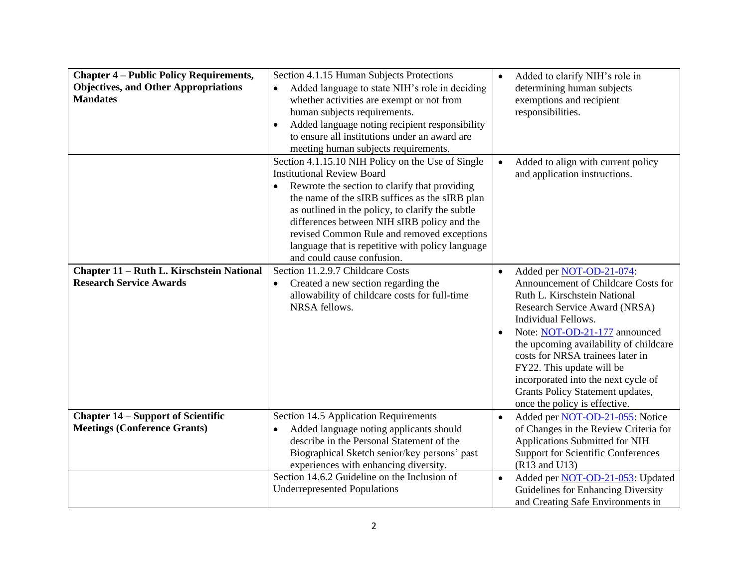| <b>Chapter 4 – Public Policy Requirements,</b><br><b>Objectives, and Other Appropriations</b><br><b>Mandates</b> | Section 4.1.15 Human Subjects Protections<br>Added language to state NIH's role in deciding<br>$\bullet$<br>whether activities are exempt or not from<br>human subjects requirements.<br>Added language noting recipient responsibility<br>$\bullet$<br>to ensure all institutions under an award are<br>meeting human subjects requirements.                                                                                             | $\bullet$ | Added to clarify NIH's role in<br>determining human subjects<br>exemptions and recipient<br>responsibilities.                                                                                                                                                                                                                                                                                                   |
|------------------------------------------------------------------------------------------------------------------|-------------------------------------------------------------------------------------------------------------------------------------------------------------------------------------------------------------------------------------------------------------------------------------------------------------------------------------------------------------------------------------------------------------------------------------------|-----------|-----------------------------------------------------------------------------------------------------------------------------------------------------------------------------------------------------------------------------------------------------------------------------------------------------------------------------------------------------------------------------------------------------------------|
|                                                                                                                  | Section 4.1.15.10 NIH Policy on the Use of Single<br><b>Institutional Review Board</b><br>Rewrote the section to clarify that providing<br>$\bullet$<br>the name of the sIRB suffices as the sIRB plan<br>as outlined in the policy, to clarify the subtle<br>differences between NIH sIRB policy and the<br>revised Common Rule and removed exceptions<br>language that is repetitive with policy language<br>and could cause confusion. |           | Added to align with current policy<br>and application instructions.                                                                                                                                                                                                                                                                                                                                             |
| Chapter 11 - Ruth L. Kirschstein National<br><b>Research Service Awards</b>                                      | Section 11.2.9.7 Childcare Costs<br>Created a new section regarding the<br>allowability of childcare costs for full-time<br>NRSA fellows.                                                                                                                                                                                                                                                                                                 | $\bullet$ | Added per NOT-OD-21-074:<br>Announcement of Childcare Costs for<br>Ruth L. Kirschstein National<br>Research Service Award (NRSA)<br>Individual Fellows.<br>Note: NOT-OD-21-177 announced<br>the upcoming availability of childcare<br>costs for NRSA trainees later in<br>FY22. This update will be<br>incorporated into the next cycle of<br>Grants Policy Statement updates,<br>once the policy is effective. |
| <b>Chapter 14 – Support of Scientific</b><br><b>Meetings (Conference Grants)</b>                                 | Section 14.5 Application Requirements<br>Added language noting applicants should<br>$\bullet$<br>describe in the Personal Statement of the<br>Biographical Sketch senior/key persons' past<br>experiences with enhancing diversity.<br>Section 14.6.2 Guideline on the Inclusion of<br><b>Underrepresented Populations</b>                                                                                                                | $\bullet$ | Added per NOT-OD-21-055: Notice<br>of Changes in the Review Criteria for<br>Applications Submitted for NIH<br><b>Support for Scientific Conferences</b><br>(R13 and U13)<br>Added per NOT-OD-21-053: Updated<br>Guidelines for Enhancing Diversity<br>and Creating Safe Environments in                                                                                                                         |